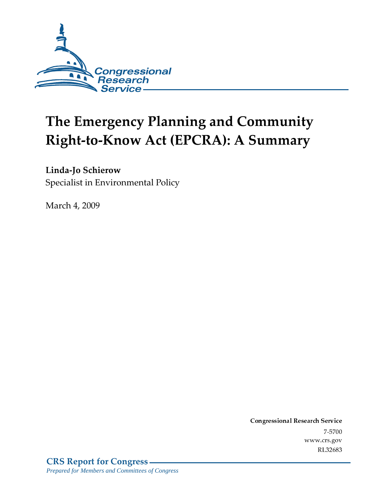

# The Emergency Planning and Community **Right-to-Know Act (EPCRA): A Summary**

### Linda-Jo Schierow

Specialist in Environmental Policy

March 4, 2009

Conglessional Research Service  $7 - 2700$ www.crs.gov RL32683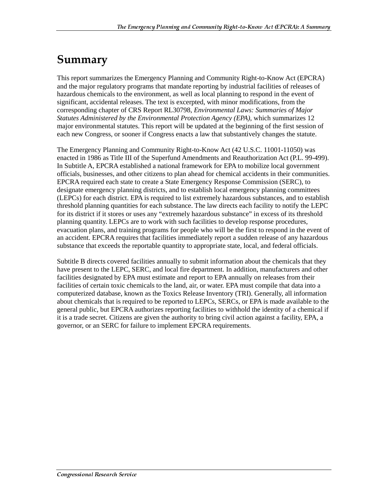### Summary

This report summarizes the Emergency Planning and Community Right-to-Know Act (EPCRA) and the major regulatory programs that mandate reporting by industrial facilities of releases of hazardous chemicals to the environment, as well as local planning to respond in the event of significant, accidental releases. The text is excerpted, with minor modifications, from the corresponding chapter of CRS Report RL30798, *Environmental Laws: Summaries of Major Statutes Administered by the Environmental Protection Agency (EPA)*, which summarizes 12 major environmental statutes. This report will be updated at the beginning of the first session of each new Congress, or sooner if Congress enacts a law that substantively changes the statute.

The Emergency Planning and Community Right-to-Know Act (42 U.S.C. 11001-11050) was enacted in 1986 as Title III of the Superfund Amendments and Reauthorization Act (P.L. 99-499). In Subtitle A, EPCRA established a national framework for EPA to mobilize local government officials, businesses, and other citizens to plan ahead for chemical accidents in their communities. EPCRA required each state to create a State Emergency Response Commission (SERC), to designate emergency planning districts, and to establish local emergency planning committees (LEPCs) for each district. EPA is required to list extremely hazardous substances, and to establish threshold planning quantities for each substance. The law directs each facility to notify the LEPC for its district if it stores or uses any "extremely hazardous substance" in excess of its threshold planning quantity. LEPCs are to work with such facilities to develop response procedures, evacuation plans, and training programs for people who will be the first to respond in the event of an accident. EPCRA requires that facilities immediately report a sudden release of any hazardous substance that exceeds the reportable quantity to appropriate state, local, and federal officials.

Subtitle B directs covered facilities annually to submit information about the chemicals that they have present to the LEPC, SERC, and local fire department. In addition, manufacturers and other facilities designated by EPA must estimate and report to EPA annually on releases from their facilities of certain toxic chemicals to the land, air, or water. EPA must compile that data into a computerized database, known as the Toxics Release Inventory (TRI). Generally, all information about chemicals that is required to be reported to LEPCs, SERCs, or EPA is made available to the general public, but EPCRA authorizes reporting facilities to withhold the identity of a chemical if it is a trade secret. Citizens are given the authority to bring civil action against a facility, EPA, a governor, or an SERC for failure to implement EPCRA requirements.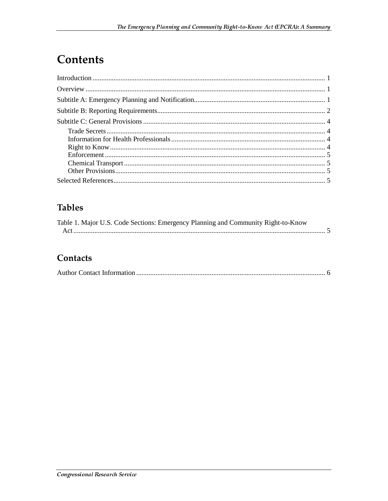# **Contents**

### **Tables**

| Table 1. Major U.S. Code Sections: Emergency Planning and Community Right-to-Know |  |
|-----------------------------------------------------------------------------------|--|
|                                                                                   |  |

### Contacts

|--|--|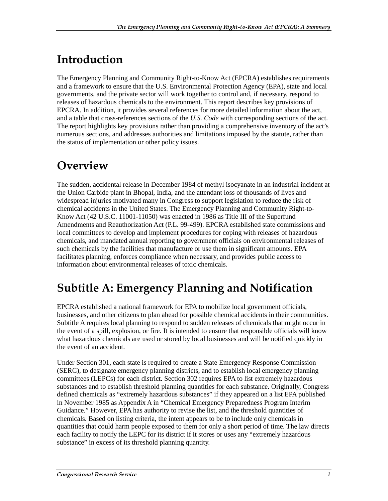## <u>Introduction</u>

The Emergency Planning and Community Right-to-Know Act (EPCRA) establishes requirements and a framework to ensure that the U.S. Environmental Protection Agency (EPA), state and local governments, and the private sector will work together to control and, if necessary, respond to releases of hazardous chemicals to the environment. This report describes key provisions of EPCRA. In addition, it provides several references for more detailed information about the act, and a table that cross-references sections of the *U.S. Code* with corresponding sections of the act. The report highlights key provisions rather than providing a comprehensive inventory of the act's numerous sections, and addresses authorities and limitations imposed by the statute, rather than the status of implementation or other policy issues.

# Overview

The sudden, accidental release in December 1984 of methyl isocyanate in an industrial incident at the Union Carbide plant in Bhopal, India, and the attendant loss of thousands of lives and widespread injuries motivated many in Congress to support legislation to reduce the risk of chemical accidents in the United States. The Emergency Planning and Community Right-to-Know Act (42 U.S.C. 11001-11050) was enacted in 1986 as Title III of the Superfund Amendments and Reauthorization Act (P.L. 99-499). EPCRA established state commissions and local committees to develop and implement procedures for coping with releases of hazardous chemicals, and mandated annual reporting to government officials on environmental releases of such chemicals by the facilities that manufacture or use them in significant amounts. EPA facilitates planning, enforces compliance when necessary, and provides public access to information about environmental releases of toxic chemicals.

### **Subtitle A: Emergency Planning and Notification**

EPCRA established a national framework for EPA to mobilize local government officials, businesses, and other citizens to plan ahead for possible chemical accidents in their communities. Subtitle A requires local planning to respond to sudden releases of chemicals that might occur in the event of a spill, explosion, or fire. It is intended to ensure that responsible officials will know what hazardous chemicals are used or stored by local businesses and will be notified quickly in the event of an accident.

Under Section 301, each state is required to create a State Emergency Response Commission (SERC), to designate emergency planning districts, and to establish local emergency planning committees (LEPCs) for each district. Section 302 requires EPA to list extremely hazardous substances and to establish threshold planning quantities for each substance. Originally, Congress defined chemicals as "extremely hazardous substances" if they appeared on a list EPA published in November 1985 as Appendix A in "Chemical Emergency Preparedness Program Interim Guidance." However, EPA has authority to revise the list, and the threshold quantities of chemicals. Based on listing criteria, the intent appears to be to include only chemicals in quantities that could harm people exposed to them for only a short period of time. The law directs each facility to notify the LEPC for its district if it stores or uses any "extremely hazardous substance" in excess of its threshold planning quantity.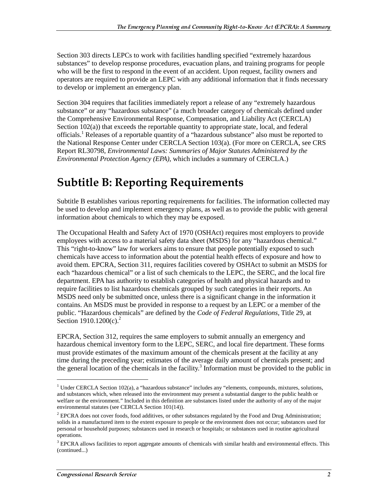Section 303 directs LEPCs to work with facilities handling specified "extremely hazardous substances" to develop response procedures, evacuation plans, and training programs for people who will be the first to respond in the event of an accident. Upon request, facility owners and operators are required to provide an LEPC with any additional information that it finds necessary to develop or implement an emergency plan.

Section 304 requires that facilities immediately report a release of any "extremely hazardous substance" or any "hazardous substance" (a much broader category of chemicals defined under the Comprehensive Environmental Response, Compensation, and Liability Act (CERCLA) Section  $102(a)$ ) that exceeds the reportable quantity to appropriate state, local, and federal officials.<sup>1</sup> Releases of a reportable quantity of a "hazardous substance" also must be reported to the National Response Center under CERCLA Section 103(a). (For more on CERCLA, see CRS Report RL30798, *Environmental Laws: Summaries of Major Statutes Administered by the Environmental Protection Agency (EPA)*, which includes a summary of CERCLA.)

### Subtitle B: Reporting Requirements

Subtitle B establishes various reporting requirements for facilities. The information collected may be used to develop and implement emergency plans, as well as to provide the public with general information about chemicals to which they may be exposed.

The Occupational Health and Safety Act of 1970 (OSHAct) requires most employers to provide employees with access to a material safety data sheet (MSDS) for any "hazardous chemical." This "right-to-know" law for workers aims to ensure that people potentially exposed to such chemicals have access to information about the potential health effects of exposure and how to avoid them. EPCRA, Section 311, requires facilities covered by OSHAct to submit an MSDS for each "hazardous chemical" or a list of such chemicals to the LEPC, the SERC, and the local fire department. EPA has authority to establish categories of health and physical hazards and to require facilities to list hazardous chemicals grouped by such categories in their reports. An MSDS need only be submitted once, unless there is a significant change in the information it contains. An MSDS must be provided in response to a request by an LEPC or a member of the public. "Hazardous chemicals" are defined by the *Code of Federal Regulations*, Title 29, at Section  $1910.1200(c)$ .<sup>2</sup>

EPCRA, Section 312, requires the same employers to submit annually an emergency and hazardous chemical inventory form to the LEPC, SERC, and local fire department. These forms must provide estimates of the maximum amount of the chemicals present at the facility at any time during the preceding year; estimates of the average daily amount of chemicals present; and the general location of the chemicals in the facility.<sup>3</sup> Information must be provided to the public in

 $\overline{a}$ 

<sup>&</sup>lt;sup>1</sup> Under CERCLA Section 102(a), a "hazardous substance" includes any "elements, compounds, mixtures, solutions, and substances which, when released into the environment may present a substantial danger to the public health or welfare or the environment." Included in this definition are substances listed under the authority of any of the major environmental statutes (see CERCLA Section 101(14)).

 $2$  EPCRA does not cover foods, food additives, or other substances regulated by the Food and Drug Administration; solids in a manufactured item to the extent exposure to people or the environment does not occur; substances used for personal or household purposes; substances used in research or hospitals; or substances used in routine agricultural operations.

 $3$  EPCRA allows facilities to report aggregate amounts of chemicals with similar health and environmental effects. This (continued...)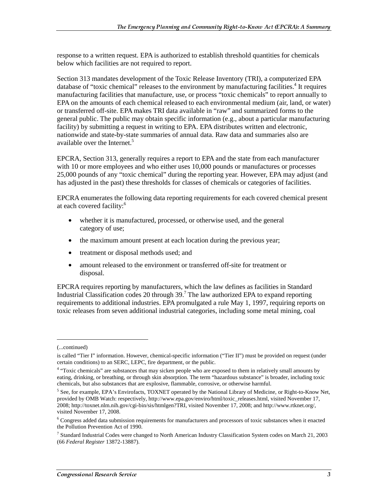response to a written request. EPA is authorized to establish threshold quantities for chemicals below which facilities are not required to report.

Section 313 mandates development of the Toxic Release Inventory (TRI), a computerized EPA database of "toxic chemical" releases to the environment by manufacturing facilities.<sup>4</sup> It requires manufacturing facilities that manufacture, use, or process "toxic chemicals" to report annually to EPA on the amounts of each chemical released to each environmental medium (air, land, or water) or transferred off-site. EPA makes TRI data available in "raw" and summarized forms to the general public. The public may obtain specific information (e.g., about a particular manufacturing facility) by submitting a request in writing to EPA. EPA distributes written and electronic, nationwide and state-by-state summaries of annual data. Raw data and summaries also are available over the Internet.<sup>5</sup>

EPCRA, Section 313, generally requires a report to EPA and the state from each manufacturer with 10 or more employees and who either uses 10,000 pounds or manufactures or processes 25,000 pounds of any "toxic chemical" during the reporting year. However, EPA may adjust (and has adjusted in the past) these thresholds for classes of chemicals or categories of facilities.

EPCRA enumerates the following data reporting requirements for each covered chemical present at each covered facility:<sup>6</sup>

- whether it is manufactured, processed, or otherwise used, and the general category of use;
- the maximum amount present at each location during the previous year;
- treatment or disposal methods used; and
- amount released to the environment or transferred off-site for treatment or disposal.

EPCRA requires reporting by manufacturers, which the law defines as facilities in Standard Industrial Classification codes 20 through 39.<sup>7</sup> The law authorized EPA to expand reporting requirements to additional industries. EPA promulgated a rule May 1, 1997, requiring reports on toxic releases from seven additional industrial categories, including some metal mining, coal

 $\overline{a}$ 

<sup>(...</sup>continued)

is called "Tier I" information. However, chemical-specific information ("Tier II") must be provided on request (under certain conditions) to an SERC, LEPC, fire department, or the public.

<sup>&</sup>lt;sup>4</sup> "Toxic chemicals" are substances that may sicken people who are exposed to them in relatively small amounts by eating, drinking, or breathing, or through skin absorption. The term "hazardous substance" is broader, including toxic chemicals, but also substances that are explosive, flammable, corrosive, or otherwise harmful.

<sup>&</sup>lt;sup>5</sup> See, for example, EPA's Envirofacts, TOXNET operated by the National Library of Medicine, or Right-to-Know Net, provided by OMB Watch: respectively, http://www.epa.gov/enviro/html/toxic\_releases.html, visited November 17, 2008; http://toxnet.nlm.nih.gov/cgi-bin/sis/htmlgen?TRI, visited November 17, 2008; and http://www.rtknet.org/, visited November 17, 2008.

<sup>&</sup>lt;sup>6</sup> Congress added data submission requirements for manufacturers and processors of toxic substances when it enacted the Pollution Prevention Act of 1990.

<sup>7</sup> Standard Industrial Codes were changed to North American Industry Classification System codes on March 21, 2003 (66 *Federal Register* 13872-13887).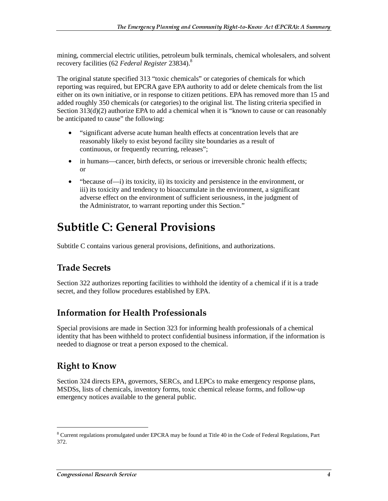mining, commercial electric utilities, petroleum bulk terminals, chemical wholesalers, and solvent recovery facilities (62 *Federal Register* 23834).8

The original statute specified 313 "toxic chemicals" or categories of chemicals for which reporting was required, but EPCRA gave EPA authority to add or delete chemicals from the list either on its own initiative, or in response to citizen petitions. EPA has removed more than 15 and added roughly 350 chemicals (or categories) to the original list. The listing criteria specified in Section 313(d)(2) authorize EPA to add a chemical when it is "known to cause or can reasonably be anticipated to cause" the following:

- "significant adverse acute human health effects at concentration levels that are reasonably likely to exist beyond facility site boundaries as a result of continuous, or frequently recurring, releases";
- in humans—cancer, birth defects, or serious or irreversible chronic health effects; or
- "because of—i) its toxicity, ii) its toxicity and persistence in the environment, or iii) its toxicity and tendency to bioaccumulate in the environment, a significant adverse effect on the environment of sufficient seriousness, in the judgment of the Administrator, to warrant reporting under this Section."

### Subtitle C: General Provisions

Subtitle C contains various general provisions, definitions, and authorizations.

### **Trade Secrets**

Section 322 authorizes reporting facilities to withhold the identity of a chemical if it is a trade secret, and they follow procedures established by EPA.

#### **Information for Health Professionals**

Special provisions are made in Section 323 for informing health professionals of a chemical identity that has been withheld to protect confidential business information, if the information is needed to diagnose or treat a person exposed to the chemical.

#### **Right to Know**

j

Section 324 directs EPA, governors, SERCs, and LEPCs to make emergency response plans, MSDSs, lists of chemicals, inventory forms, toxic chemical release forms, and follow-up emergency notices available to the general public.

<sup>&</sup>lt;sup>8</sup> Current regulations promulgated under EPCRA may be found at Title 40 in the Code of Federal Regulations, Part 372.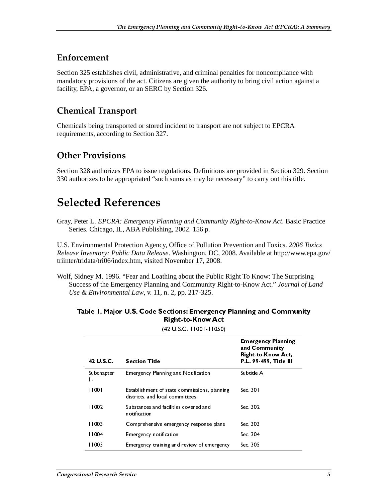#### Enforcement

Section 325 establishes civil, administrative, and criminal penalties for noncompliance with mandatory provisions of the act. Citizens are given the authority to bring civil action against a facility, EPA, a governor, or an SERC by Section 326.

### **Chemical Transport**

Chemicals being transported or stored incident to transport are not subject to EPCRA requirements, according to Section 327.

### Other Provisions

Section 328 authorizes EPA to issue regulations. Definitions are provided in Section 329. Section 330 authorizes to be appropriated "such sums as may be necessary" to carry out this title.

### Selected References

Gray, Peter L. *EPCRA: Emergency Planning and Community Right-to-Know Act.* Basic Practice Series. Chicago, IL, ABA Publishing, 2002. 156 p.

U.S. Environmental Protection Agency, Office of Pollution Prevention and Toxics. *2006 Toxics Release Inventory: Public Data Release*. Washington, DC, 2008. Available at http://www.epa.gov/ triinter/tridata/tri06/index.htm, visited November 17, 2008.

Wolf, Sidney M. 1996. "Fear and Loathing about the Public Right To Know: The Surprising Success of the Emergency Planning and Community Right-to-Know Act." *Journal of Land Use & Environmental Law*, v. 11, n. 2, pp. 217-325.

| Table 1. Major U.S. Code Sections: Emergency Planning and Community |
|---------------------------------------------------------------------|
| <b>Right-to-Know Act</b>                                            |

| 42 U.S.C.        | <b>Section Title</b>                                                            | <b>Emergency Planning</b><br>and Community<br>Right-to-Know Act,<br>P.L. 99-499, Title III |
|------------------|---------------------------------------------------------------------------------|--------------------------------------------------------------------------------------------|
| Subchapter<br>Ι. | <b>Emergency Planning and Notification</b>                                      | Subtitle A                                                                                 |
| TT00 L           | Establishment of state commissions, planning<br>districts, and local committees | Sec. 30 l                                                                                  |
| 11002            | Substances and facilities covered and<br>notification                           | Sec. 302                                                                                   |
| 11003            | Comprehensive emergency response plans                                          | Sec. 303                                                                                   |
| 1004             | Emergency notification                                                          | Sec. 304                                                                                   |
| l I 005          | Emergency training and review of emergency                                      | Sec. 305                                                                                   |